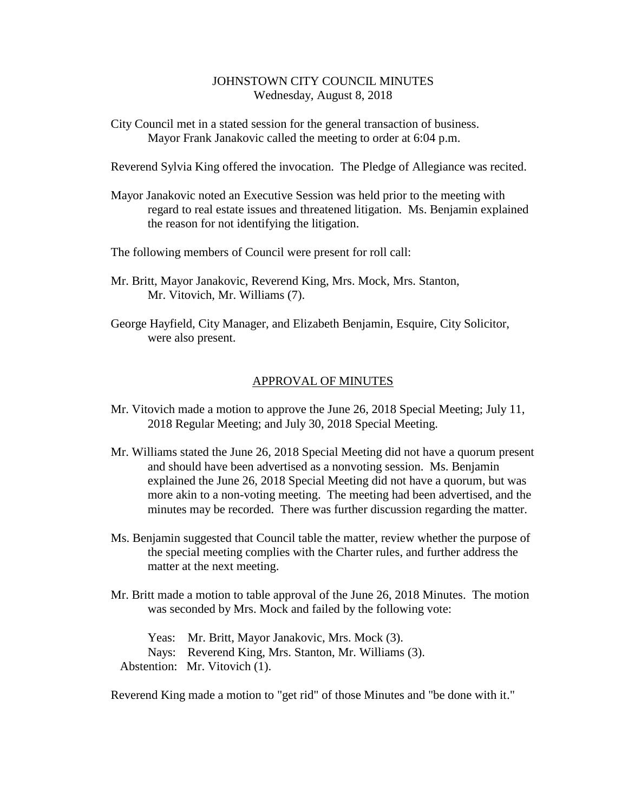## JOHNSTOWN CITY COUNCIL MINUTES Wednesday, August 8, 2018

City Council met in a stated session for the general transaction of business. Mayor Frank Janakovic called the meeting to order at 6:04 p.m.

Reverend Sylvia King offered the invocation. The Pledge of Allegiance was recited.

Mayor Janakovic noted an Executive Session was held prior to the meeting with regard to real estate issues and threatened litigation. Ms. Benjamin explained the reason for not identifying the litigation.

The following members of Council were present for roll call:

- Mr. Britt, Mayor Janakovic, Reverend King, Mrs. Mock, Mrs. Stanton, Mr. Vitovich, Mr. Williams (7).
- George Hayfield, City Manager, and Elizabeth Benjamin, Esquire, City Solicitor, were also present.

## APPROVAL OF MINUTES

- Mr. Vitovich made a motion to approve the June 26, 2018 Special Meeting; July 11, 2018 Regular Meeting; and July 30, 2018 Special Meeting.
- Mr. Williams stated the June 26, 2018 Special Meeting did not have a quorum present and should have been advertised as a nonvoting session. Ms. Benjamin explained the June 26, 2018 Special Meeting did not have a quorum, but was more akin to a non-voting meeting. The meeting had been advertised, and the minutes may be recorded. There was further discussion regarding the matter.
- Ms. Benjamin suggested that Council table the matter, review whether the purpose of the special meeting complies with the Charter rules, and further address the matter at the next meeting.
- Mr. Britt made a motion to table approval of the June 26, 2018 Minutes. The motion was seconded by Mrs. Mock and failed by the following vote:

Yeas: Mr. Britt, Mayor Janakovic, Mrs. Mock (3). Nays: Reverend King, Mrs. Stanton, Mr. Williams (3). Abstention: Mr. Vitovich (1).

Reverend King made a motion to "get rid" of those Minutes and "be done with it."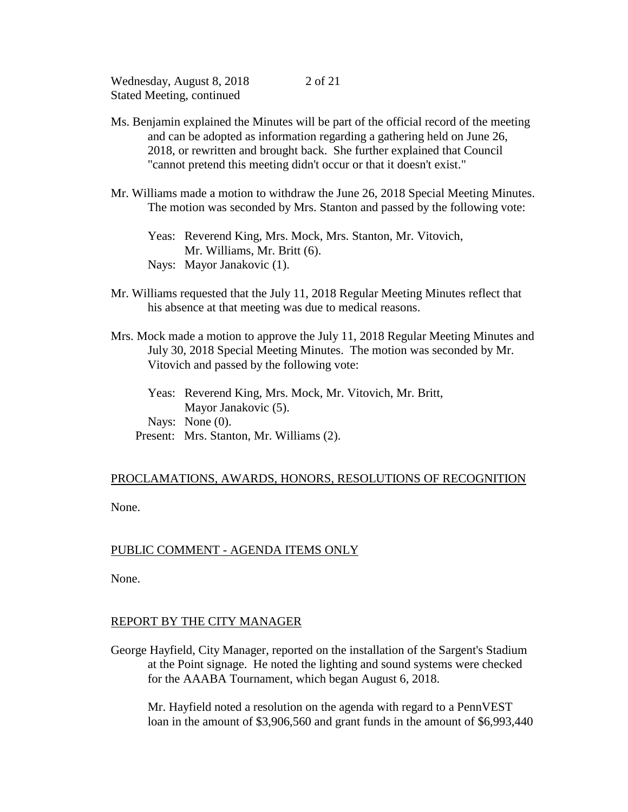- Ms. Benjamin explained the Minutes will be part of the official record of the meeting and can be adopted as information regarding a gathering held on June 26, 2018, or rewritten and brought back. She further explained that Council "cannot pretend this meeting didn't occur or that it doesn't exist."
- Mr. Williams made a motion to withdraw the June 26, 2018 Special Meeting Minutes. The motion was seconded by Mrs. Stanton and passed by the following vote:
	- Yeas: Reverend King, Mrs. Mock, Mrs. Stanton, Mr. Vitovich, Mr. Williams, Mr. Britt (6). Nays: Mayor Janakovic (1).
- Mr. Williams requested that the July 11, 2018 Regular Meeting Minutes reflect that his absence at that meeting was due to medical reasons.
- Mrs. Mock made a motion to approve the July 11, 2018 Regular Meeting Minutes and July 30, 2018 Special Meeting Minutes. The motion was seconded by Mr. Vitovich and passed by the following vote:
	- Yeas: Reverend King, Mrs. Mock, Mr. Vitovich, Mr. Britt, Mayor Janakovic (5). Nays: None (0). Present: Mrs. Stanton, Mr. Williams (2).

# PROCLAMATIONS, AWARDS, HONORS, RESOLUTIONS OF RECOGNITION

None.

## PUBLIC COMMENT - AGENDA ITEMS ONLY

None.

## REPORT BY THE CITY MANAGER

George Hayfield, City Manager, reported on the installation of the Sargent's Stadium at the Point signage. He noted the lighting and sound systems were checked for the AAABA Tournament, which began August 6, 2018.

Mr. Hayfield noted a resolution on the agenda with regard to a PennVEST loan in the amount of \$3,906,560 and grant funds in the amount of \$6,993,440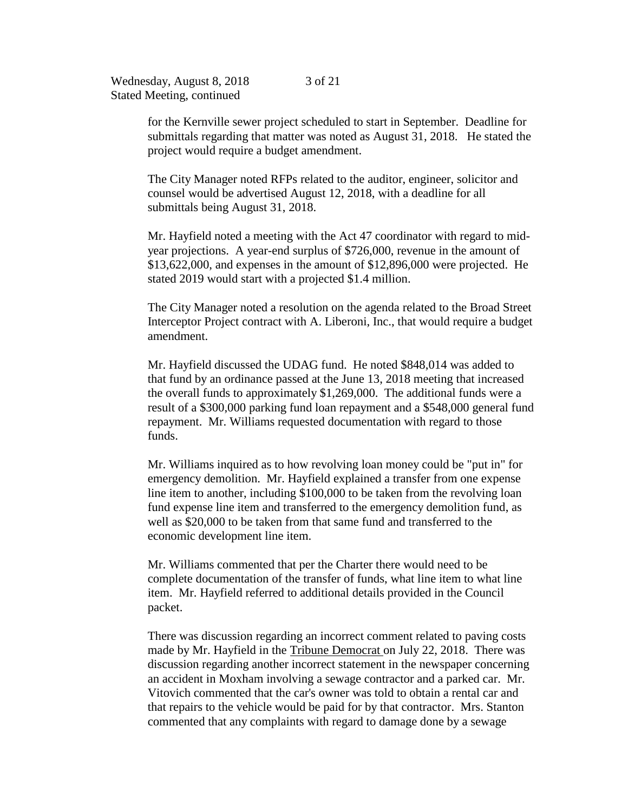for the Kernville sewer project scheduled to start in September. Deadline for submittals regarding that matter was noted as August 31, 2018. He stated the project would require a budget amendment.

The City Manager noted RFPs related to the auditor, engineer, solicitor and counsel would be advertised August 12, 2018, with a deadline for all submittals being August 31, 2018.

Mr. Hayfield noted a meeting with the Act 47 coordinator with regard to midyear projections. A year-end surplus of \$726,000, revenue in the amount of \$13,622,000, and expenses in the amount of \$12,896,000 were projected. He stated 2019 would start with a projected \$1.4 million.

The City Manager noted a resolution on the agenda related to the Broad Street Interceptor Project contract with A. Liberoni, Inc., that would require a budget amendment.

Mr. Hayfield discussed the UDAG fund. He noted \$848,014 was added to that fund by an ordinance passed at the June 13, 2018 meeting that increased the overall funds to approximately \$1,269,000. The additional funds were a result of a \$300,000 parking fund loan repayment and a \$548,000 general fund repayment. Mr. Williams requested documentation with regard to those funds.

Mr. Williams inquired as to how revolving loan money could be "put in" for emergency demolition. Mr. Hayfield explained a transfer from one expense line item to another, including \$100,000 to be taken from the revolving loan fund expense line item and transferred to the emergency demolition fund, as well as \$20,000 to be taken from that same fund and transferred to the economic development line item.

Mr. Williams commented that per the Charter there would need to be complete documentation of the transfer of funds, what line item to what line item. Mr. Hayfield referred to additional details provided in the Council packet.

There was discussion regarding an incorrect comment related to paving costs made by Mr. Hayfield in the Tribune Democrat on July 22, 2018. There was discussion regarding another incorrect statement in the newspaper concerning an accident in Moxham involving a sewage contractor and a parked car. Mr. Vitovich commented that the car's owner was told to obtain a rental car and that repairs to the vehicle would be paid for by that contractor. Mrs. Stanton commented that any complaints with regard to damage done by a sewage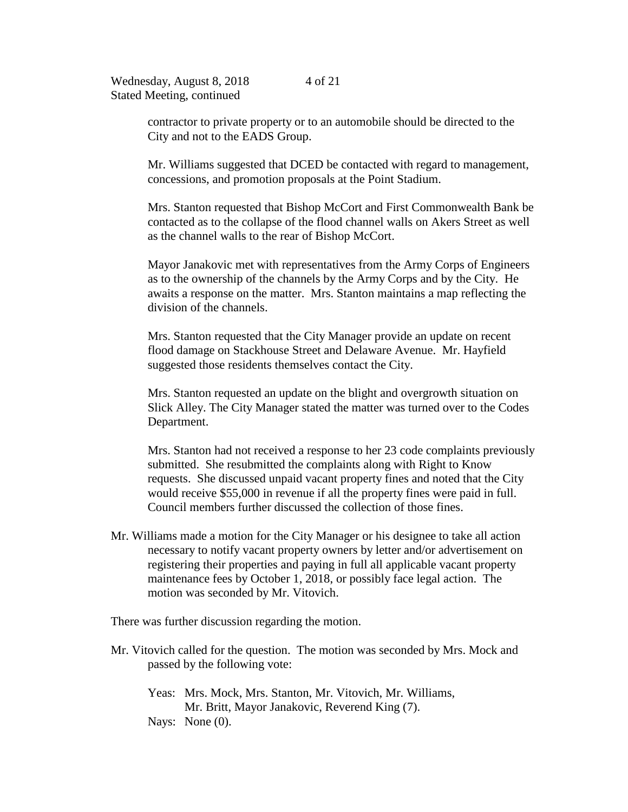4 of 21

contractor to private property or to an automobile should be directed to the City and not to the EADS Group.

Mr. Williams suggested that DCED be contacted with regard to management, concessions, and promotion proposals at the Point Stadium.

Mrs. Stanton requested that Bishop McCort and First Commonwealth Bank be contacted as to the collapse of the flood channel walls on Akers Street as well as the channel walls to the rear of Bishop McCort.

Mayor Janakovic met with representatives from the Army Corps of Engineers as to the ownership of the channels by the Army Corps and by the City. He awaits a response on the matter. Mrs. Stanton maintains a map reflecting the division of the channels.

Mrs. Stanton requested that the City Manager provide an update on recent flood damage on Stackhouse Street and Delaware Avenue. Mr. Hayfield suggested those residents themselves contact the City.

Mrs. Stanton requested an update on the blight and overgrowth situation on Slick Alley. The City Manager stated the matter was turned over to the Codes Department.

Mrs. Stanton had not received a response to her 23 code complaints previously submitted. She resubmitted the complaints along with Right to Know requests. She discussed unpaid vacant property fines and noted that the City would receive \$55,000 in revenue if all the property fines were paid in full. Council members further discussed the collection of those fines.

Mr. Williams made a motion for the City Manager or his designee to take all action necessary to notify vacant property owners by letter and/or advertisement on registering their properties and paying in full all applicable vacant property maintenance fees by October 1, 2018, or possibly face legal action. The motion was seconded by Mr. Vitovich.

There was further discussion regarding the motion.

- Mr. Vitovich called for the question. The motion was seconded by Mrs. Mock and passed by the following vote:
	- Yeas: Mrs. Mock, Mrs. Stanton, Mr. Vitovich, Mr. Williams, Mr. Britt, Mayor Janakovic, Reverend King (7). Nays: None (0).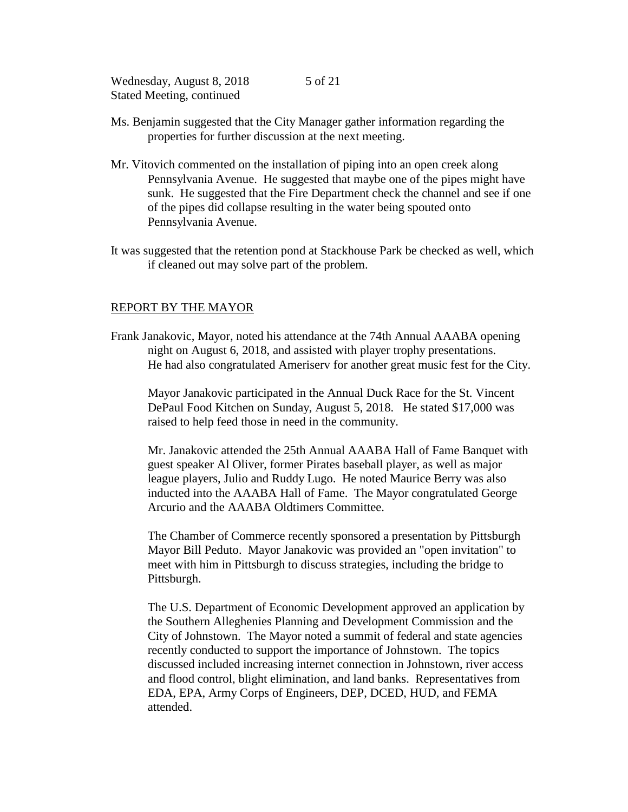- Ms. Benjamin suggested that the City Manager gather information regarding the properties for further discussion at the next meeting.
- Mr. Vitovich commented on the installation of piping into an open creek along Pennsylvania Avenue. He suggested that maybe one of the pipes might have sunk. He suggested that the Fire Department check the channel and see if one of the pipes did collapse resulting in the water being spouted onto Pennsylvania Avenue.
- It was suggested that the retention pond at Stackhouse Park be checked as well, which if cleaned out may solve part of the problem.

## REPORT BY THE MAYOR

Frank Janakovic, Mayor, noted his attendance at the 74th Annual AAABA opening night on August 6, 2018, and assisted with player trophy presentations. He had also congratulated Ameriserv for another great music fest for the City.

Mayor Janakovic participated in the Annual Duck Race for the St. Vincent DePaul Food Kitchen on Sunday, August 5, 2018. He stated \$17,000 was raised to help feed those in need in the community.

Mr. Janakovic attended the 25th Annual AAABA Hall of Fame Banquet with guest speaker Al Oliver, former Pirates baseball player, as well as major league players, Julio and Ruddy Lugo. He noted Maurice Berry was also inducted into the AAABA Hall of Fame. The Mayor congratulated George Arcurio and the AAABA Oldtimers Committee.

The Chamber of Commerce recently sponsored a presentation by Pittsburgh Mayor Bill Peduto. Mayor Janakovic was provided an "open invitation" to meet with him in Pittsburgh to discuss strategies, including the bridge to Pittsburgh.

The U.S. Department of Economic Development approved an application by the Southern Alleghenies Planning and Development Commission and the City of Johnstown. The Mayor noted a summit of federal and state agencies recently conducted to support the importance of Johnstown. The topics discussed included increasing internet connection in Johnstown, river access and flood control, blight elimination, and land banks. Representatives from EDA, EPA, Army Corps of Engineers, DEP, DCED, HUD, and FEMA attended.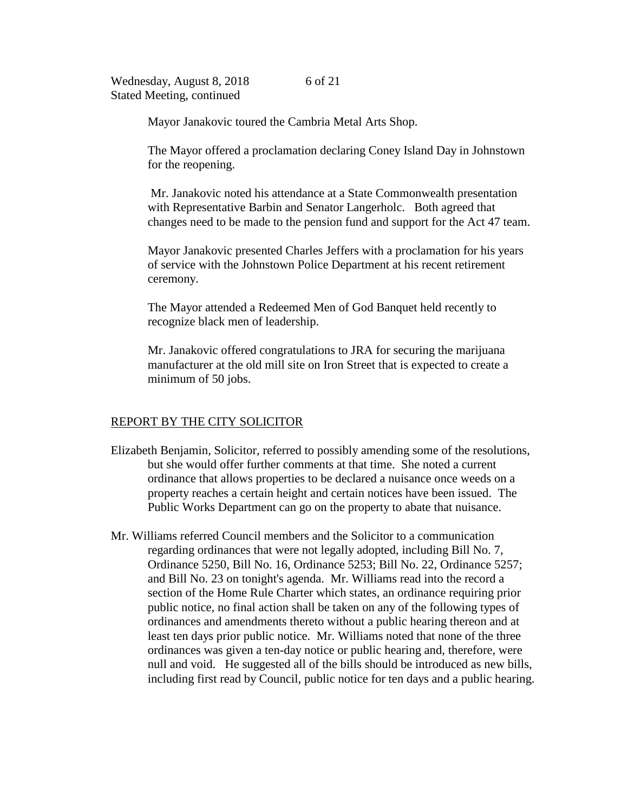6 of 21

Mayor Janakovic toured the Cambria Metal Arts Shop.

The Mayor offered a proclamation declaring Coney Island Day in Johnstown for the reopening.

Mr. Janakovic noted his attendance at a State Commonwealth presentation with Representative Barbin and Senator Langerholc. Both agreed that changes need to be made to the pension fund and support for the Act 47 team.

Mayor Janakovic presented Charles Jeffers with a proclamation for his years of service with the Johnstown Police Department at his recent retirement ceremony.

The Mayor attended a Redeemed Men of God Banquet held recently to recognize black men of leadership.

Mr. Janakovic offered congratulations to JRA for securing the marijuana manufacturer at the old mill site on Iron Street that is expected to create a minimum of 50 jobs.

## REPORT BY THE CITY SOLICITOR

- Elizabeth Benjamin, Solicitor, referred to possibly amending some of the resolutions, but she would offer further comments at that time. She noted a current ordinance that allows properties to be declared a nuisance once weeds on a property reaches a certain height and certain notices have been issued. The Public Works Department can go on the property to abate that nuisance.
- Mr. Williams referred Council members and the Solicitor to a communication regarding ordinances that were not legally adopted, including Bill No. 7, Ordinance 5250, Bill No. 16, Ordinance 5253; Bill No. 22, Ordinance 5257; and Bill No. 23 on tonight's agenda. Mr. Williams read into the record a section of the Home Rule Charter which states, an ordinance requiring prior public notice, no final action shall be taken on any of the following types of ordinances and amendments thereto without a public hearing thereon and at least ten days prior public notice. Mr. Williams noted that none of the three ordinances was given a ten-day notice or public hearing and, therefore, were null and void. He suggested all of the bills should be introduced as new bills, including first read by Council, public notice for ten days and a public hearing.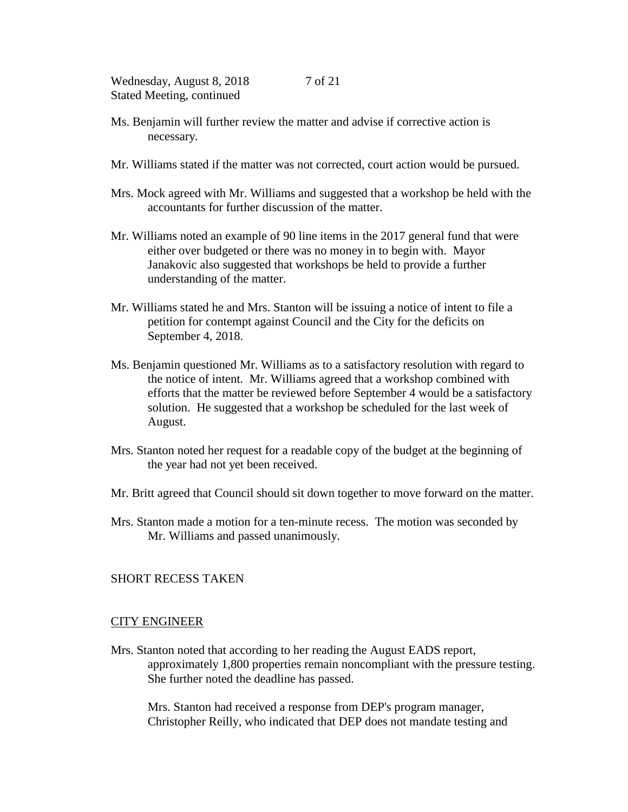- Ms. Benjamin will further review the matter and advise if corrective action is necessary.
- Mr. Williams stated if the matter was not corrected, court action would be pursued.
- Mrs. Mock agreed with Mr. Williams and suggested that a workshop be held with the accountants for further discussion of the matter.
- Mr. Williams noted an example of 90 line items in the 2017 general fund that were either over budgeted or there was no money in to begin with. Mayor Janakovic also suggested that workshops be held to provide a further understanding of the matter.
- Mr. Williams stated he and Mrs. Stanton will be issuing a notice of intent to file a petition for contempt against Council and the City for the deficits on September 4, 2018.
- Ms. Benjamin questioned Mr. Williams as to a satisfactory resolution with regard to the notice of intent. Mr. Williams agreed that a workshop combined with efforts that the matter be reviewed before September 4 would be a satisfactory solution. He suggested that a workshop be scheduled for the last week of August.
- Mrs. Stanton noted her request for a readable copy of the budget at the beginning of the year had not yet been received.
- Mr. Britt agreed that Council should sit down together to move forward on the matter.
- Mrs. Stanton made a motion for a ten-minute recess. The motion was seconded by Mr. Williams and passed unanimously.

# SHORT RECESS TAKEN

#### CITY ENGINEER

Mrs. Stanton noted that according to her reading the August EADS report, approximately 1,800 properties remain noncompliant with the pressure testing. She further noted the deadline has passed.

Mrs. Stanton had received a response from DEP's program manager, Christopher Reilly, who indicated that DEP does not mandate testing and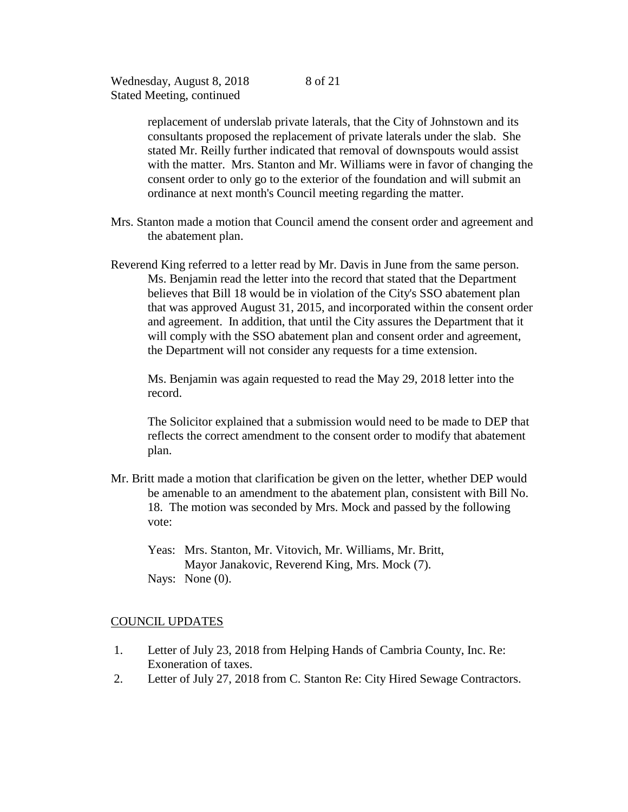> replacement of underslab private laterals, that the City of Johnstown and its consultants proposed the replacement of private laterals under the slab. She stated Mr. Reilly further indicated that removal of downspouts would assist with the matter. Mrs. Stanton and Mr. Williams were in favor of changing the consent order to only go to the exterior of the foundation and will submit an ordinance at next month's Council meeting regarding the matter.

- Mrs. Stanton made a motion that Council amend the consent order and agreement and the abatement plan.
- Reverend King referred to a letter read by Mr. Davis in June from the same person. Ms. Benjamin read the letter into the record that stated that the Department believes that Bill 18 would be in violation of the City's SSO abatement plan that was approved August 31, 2015, and incorporated within the consent order and agreement. In addition, that until the City assures the Department that it will comply with the SSO abatement plan and consent order and agreement, the Department will not consider any requests for a time extension.

Ms. Benjamin was again requested to read the May 29, 2018 letter into the record.

The Solicitor explained that a submission would need to be made to DEP that reflects the correct amendment to the consent order to modify that abatement plan.

- Mr. Britt made a motion that clarification be given on the letter, whether DEP would be amenable to an amendment to the abatement plan, consistent with Bill No. 18. The motion was seconded by Mrs. Mock and passed by the following vote:
	- Yeas: Mrs. Stanton, Mr. Vitovich, Mr. Williams, Mr. Britt, Mayor Janakovic, Reverend King, Mrs. Mock (7). Nays: None (0).

#### COUNCIL UPDATES

- 1. Letter of July 23, 2018 from Helping Hands of Cambria County, Inc. Re: Exoneration of taxes.
- 2. Letter of July 27, 2018 from C. Stanton Re: City Hired Sewage Contractors.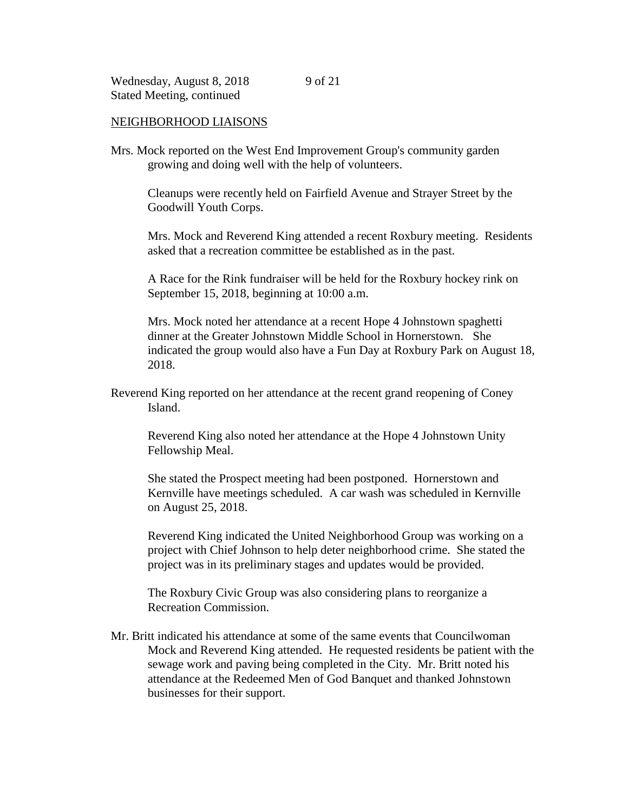## NEIGHBORHOOD LIAISONS

Mrs. Mock reported on the West End Improvement Group's community garden growing and doing well with the help of volunteers.

Cleanups were recently held on Fairfield Avenue and Strayer Street by the Goodwill Youth Corps.

Mrs. Mock and Reverend King attended a recent Roxbury meeting. Residents asked that a recreation committee be established as in the past.

A Race for the Rink fundraiser will be held for the Roxbury hockey rink on September 15, 2018, beginning at 10:00 a.m.

Mrs. Mock noted her attendance at a recent Hope 4 Johnstown spaghetti dinner at the Greater Johnstown Middle School in Hornerstown. She indicated the group would also have a Fun Day at Roxbury Park on August 18, 2018.

Reverend King reported on her attendance at the recent grand reopening of Coney Island.

Reverend King also noted her attendance at the Hope 4 Johnstown Unity Fellowship Meal.

She stated the Prospect meeting had been postponed. Hornerstown and Kernville have meetings scheduled. A car wash was scheduled in Kernville on August 25, 2018.

Reverend King indicated the United Neighborhood Group was working on a project with Chief Johnson to help deter neighborhood crime. She stated the project was in its preliminary stages and updates would be provided.

The Roxbury Civic Group was also considering plans to reorganize a Recreation Commission.

Mr. Britt indicated his attendance at some of the same events that Councilwoman Mock and Reverend King attended. He requested residents be patient with the sewage work and paving being completed in the City. Mr. Britt noted his attendance at the Redeemed Men of God Banquet and thanked Johnstown businesses for their support.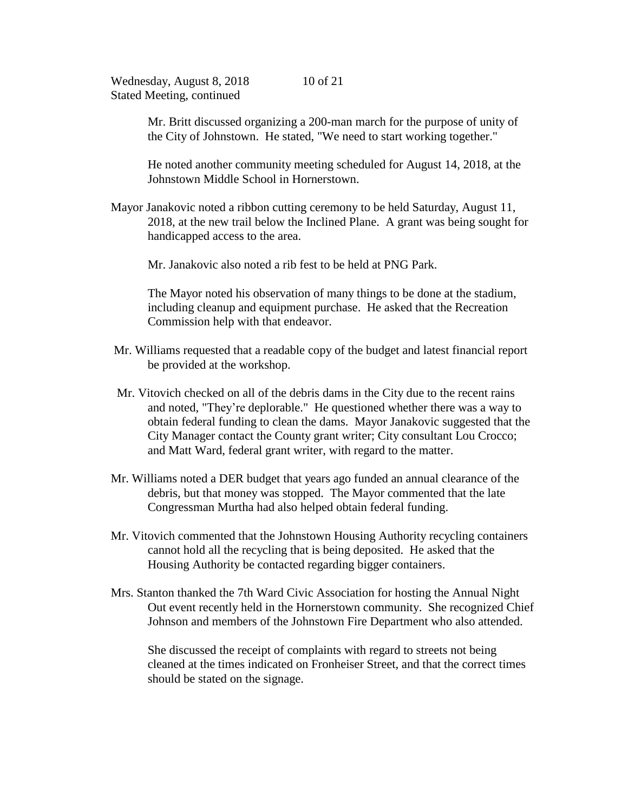Mr. Britt discussed organizing a 200-man march for the purpose of unity of the City of Johnstown. He stated, "We need to start working together."

He noted another community meeting scheduled for August 14, 2018, at the Johnstown Middle School in Hornerstown.

Mayor Janakovic noted a ribbon cutting ceremony to be held Saturday, August 11, 2018, at the new trail below the Inclined Plane. A grant was being sought for handicapped access to the area.

Mr. Janakovic also noted a rib fest to be held at PNG Park.

The Mayor noted his observation of many things to be done at the stadium, including cleanup and equipment purchase. He asked that the Recreation Commission help with that endeavor.

- Mr. Williams requested that a readable copy of the budget and latest financial report be provided at the workshop.
- Mr. Vitovich checked on all of the debris dams in the City due to the recent rains and noted, "They're deplorable." He questioned whether there was a way to obtain federal funding to clean the dams. Mayor Janakovic suggested that the City Manager contact the County grant writer; City consultant Lou Crocco; and Matt Ward, federal grant writer, with regard to the matter.
- Mr. Williams noted a DER budget that years ago funded an annual clearance of the debris, but that money was stopped. The Mayor commented that the late Congressman Murtha had also helped obtain federal funding.
- Mr. Vitovich commented that the Johnstown Housing Authority recycling containers cannot hold all the recycling that is being deposited. He asked that the Housing Authority be contacted regarding bigger containers.
- Mrs. Stanton thanked the 7th Ward Civic Association for hosting the Annual Night Out event recently held in the Hornerstown community. She recognized Chief Johnson and members of the Johnstown Fire Department who also attended.

She discussed the receipt of complaints with regard to streets not being cleaned at the times indicated on Fronheiser Street, and that the correct times should be stated on the signage.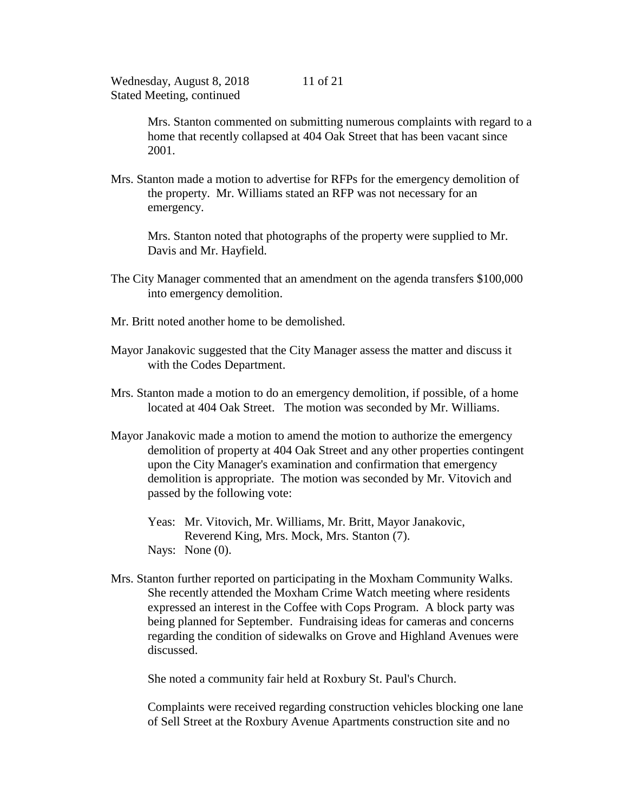Mrs. Stanton commented on submitting numerous complaints with regard to a home that recently collapsed at 404 Oak Street that has been vacant since 2001.

Mrs. Stanton made a motion to advertise for RFPs for the emergency demolition of the property. Mr. Williams stated an RFP was not necessary for an emergency.

Mrs. Stanton noted that photographs of the property were supplied to Mr. Davis and Mr. Hayfield.

- The City Manager commented that an amendment on the agenda transfers \$100,000 into emergency demolition.
- Mr. Britt noted another home to be demolished.
- Mayor Janakovic suggested that the City Manager assess the matter and discuss it with the Codes Department.
- Mrs. Stanton made a motion to do an emergency demolition, if possible, of a home located at 404 Oak Street. The motion was seconded by Mr. Williams.
- Mayor Janakovic made a motion to amend the motion to authorize the emergency demolition of property at 404 Oak Street and any other properties contingent upon the City Manager's examination and confirmation that emergency demolition is appropriate. The motion was seconded by Mr. Vitovich and passed by the following vote:
	- Yeas: Mr. Vitovich, Mr. Williams, Mr. Britt, Mayor Janakovic, Reverend King, Mrs. Mock, Mrs. Stanton (7). Nays: None  $(0)$ .
- Mrs. Stanton further reported on participating in the Moxham Community Walks. She recently attended the Moxham Crime Watch meeting where residents expressed an interest in the Coffee with Cops Program. A block party was being planned for September. Fundraising ideas for cameras and concerns regarding the condition of sidewalks on Grove and Highland Avenues were discussed.

She noted a community fair held at Roxbury St. Paul's Church.

Complaints were received regarding construction vehicles blocking one lane of Sell Street at the Roxbury Avenue Apartments construction site and no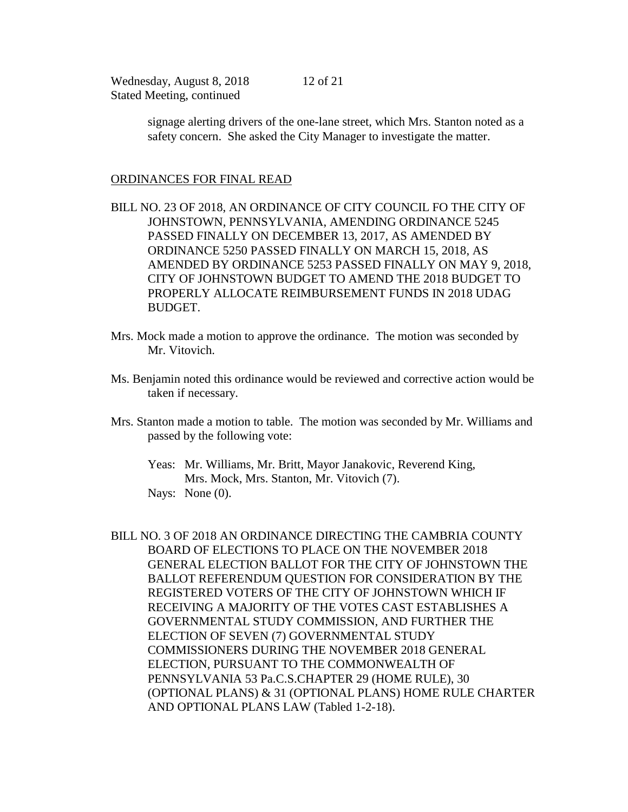> signage alerting drivers of the one-lane street, which Mrs. Stanton noted as a safety concern. She asked the City Manager to investigate the matter.

## ORDINANCES FOR FINAL READ

BILL NO. 23 OF 2018, AN ORDINANCE OF CITY COUNCIL FO THE CITY OF JOHNSTOWN, PENNSYLVANIA, AMENDING ORDINANCE 5245 PASSED FINALLY ON DECEMBER 13, 2017, AS AMENDED BY ORDINANCE 5250 PASSED FINALLY ON MARCH 15, 2018, AS AMENDED BY ORDINANCE 5253 PASSED FINALLY ON MAY 9, 2018, CITY OF JOHNSTOWN BUDGET TO AMEND THE 2018 BUDGET TO PROPERLY ALLOCATE REIMBURSEMENT FUNDS IN 2018 UDAG BUDGET.

- Mrs. Mock made a motion to approve the ordinance. The motion was seconded by Mr. Vitovich.
- Ms. Benjamin noted this ordinance would be reviewed and corrective action would be taken if necessary.
- Mrs. Stanton made a motion to table. The motion was seconded by Mr. Williams and passed by the following vote:
	- Yeas: Mr. Williams, Mr. Britt, Mayor Janakovic, Reverend King, Mrs. Mock, Mrs. Stanton, Mr. Vitovich (7). Nays: None (0).
- BILL NO. 3 OF 2018 AN ORDINANCE DIRECTING THE CAMBRIA COUNTY BOARD OF ELECTIONS TO PLACE ON THE NOVEMBER 2018 GENERAL ELECTION BALLOT FOR THE CITY OF JOHNSTOWN THE BALLOT REFERENDUM QUESTION FOR CONSIDERATION BY THE REGISTERED VOTERS OF THE CITY OF JOHNSTOWN WHICH IF RECEIVING A MAJORITY OF THE VOTES CAST ESTABLISHES A GOVERNMENTAL STUDY COMMISSION, AND FURTHER THE ELECTION OF SEVEN (7) GOVERNMENTAL STUDY COMMISSIONERS DURING THE NOVEMBER 2018 GENERAL ELECTION, PURSUANT TO THE COMMONWEALTH OF PENNSYLVANIA 53 Pa.C.S.CHAPTER 29 (HOME RULE), 30 (OPTIONAL PLANS) & 31 (OPTIONAL PLANS) HOME RULE CHARTER AND OPTIONAL PLANS LAW (Tabled 1-2-18).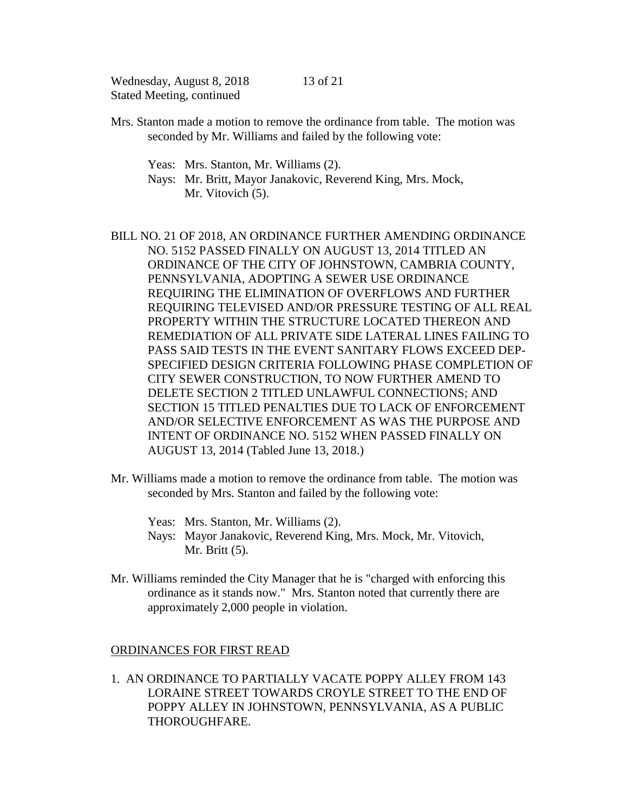13 of 21

- Mrs. Stanton made a motion to remove the ordinance from table. The motion was seconded by Mr. Williams and failed by the following vote:
	- Yeas: Mrs. Stanton, Mr. Williams (2).
	- Nays: Mr. Britt, Mayor Janakovic, Reverend King, Mrs. Mock, Mr. Vitovich  $(5)$ .
- BILL NO. 21 OF 2018, AN ORDINANCE FURTHER AMENDING ORDINANCE NO. 5152 PASSED FINALLY ON AUGUST 13, 2014 TITLED AN ORDINANCE OF THE CITY OF JOHNSTOWN, CAMBRIA COUNTY, PENNSYLVANIA, ADOPTING A SEWER USE ORDINANCE REQUIRING THE ELIMINATION OF OVERFLOWS AND FURTHER REQUIRING TELEVISED AND/OR PRESSURE TESTING OF ALL REAL PROPERTY WITHIN THE STRUCTURE LOCATED THEREON AND REMEDIATION OF ALL PRIVATE SIDE LATERAL LINES FAILING TO PASS SAID TESTS IN THE EVENT SANITARY FLOWS EXCEED DEP-SPECIFIED DESIGN CRITERIA FOLLOWING PHASE COMPLETION OF CITY SEWER CONSTRUCTION, TO NOW FURTHER AMEND TO DELETE SECTION 2 TITLED UNLAWFUL CONNECTIONS; AND SECTION 15 TITLED PENALTIES DUE TO LACK OF ENFORCEMENT AND/OR SELECTIVE ENFORCEMENT AS WAS THE PURPOSE AND INTENT OF ORDINANCE NO. 5152 WHEN PASSED FINALLY ON AUGUST 13, 2014 (Tabled June 13, 2018.)
- Mr. Williams made a motion to remove the ordinance from table. The motion was seconded by Mrs. Stanton and failed by the following vote:
	- Yeas: Mrs. Stanton, Mr. Williams (2).
	- Nays: Mayor Janakovic, Reverend King, Mrs. Mock, Mr. Vitovich, Mr. Britt (5).
- Mr. Williams reminded the City Manager that he is "charged with enforcing this ordinance as it stands now." Mrs. Stanton noted that currently there are approximately 2,000 people in violation.

## ORDINANCES FOR FIRST READ

1. AN ORDINANCE TO PARTIALLY VACATE POPPY ALLEY FROM 143 LORAINE STREET TOWARDS CROYLE STREET TO THE END OF POPPY ALLEY IN JOHNSTOWN, PENNSYLVANIA, AS A PUBLIC **THOROUGHFARE.**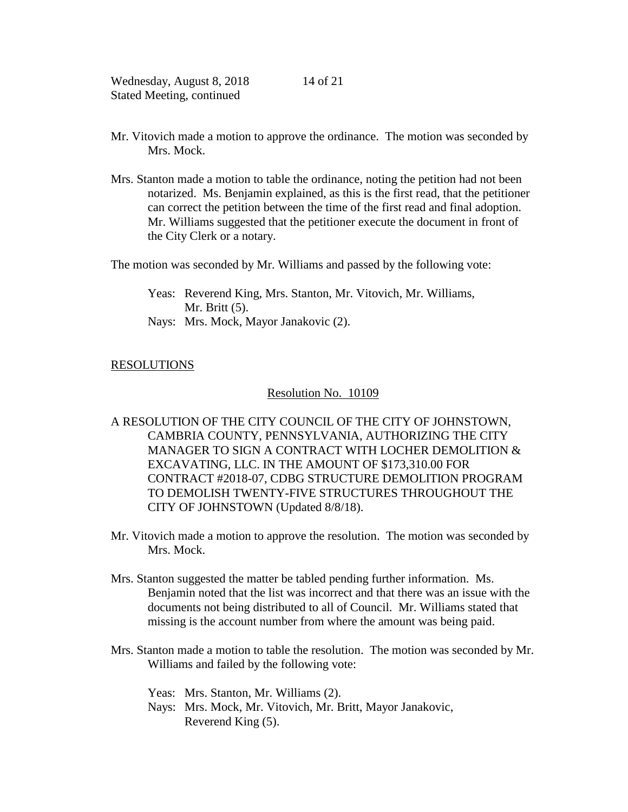- Mr. Vitovich made a motion to approve the ordinance. The motion was seconded by Mrs. Mock.
- Mrs. Stanton made a motion to table the ordinance, noting the petition had not been notarized. Ms. Benjamin explained, as this is the first read, that the petitioner can correct the petition between the time of the first read and final adoption. Mr. Williams suggested that the petitioner execute the document in front of the City Clerk or a notary.

The motion was seconded by Mr. Williams and passed by the following vote:

Yeas: Reverend King, Mrs. Stanton, Mr. Vitovich, Mr. Williams, Mr. Britt (5).

Nays: Mrs. Mock, Mayor Janakovic (2).

## RESOLUTIONS

## Resolution No. 10109

- A RESOLUTION OF THE CITY COUNCIL OF THE CITY OF JOHNSTOWN, CAMBRIA COUNTY, PENNSYLVANIA, AUTHORIZING THE CITY MANAGER TO SIGN A CONTRACT WITH LOCHER DEMOLITION & EXCAVATING, LLC. IN THE AMOUNT OF \$173,310.00 FOR CONTRACT #2018-07, CDBG STRUCTURE DEMOLITION PROGRAM TO DEMOLISH TWENTY-FIVE STRUCTURES THROUGHOUT THE CITY OF JOHNSTOWN (Updated 8/8/18).
- Mr. Vitovich made a motion to approve the resolution. The motion was seconded by Mrs. Mock.
- Mrs. Stanton suggested the matter be tabled pending further information. Ms. Benjamin noted that the list was incorrect and that there was an issue with the documents not being distributed to all of Council. Mr. Williams stated that missing is the account number from where the amount was being paid.
- Mrs. Stanton made a motion to table the resolution. The motion was seconded by Mr. Williams and failed by the following vote:
	- Yeas: Mrs. Stanton, Mr. Williams (2).
	- Nays: Mrs. Mock, Mr. Vitovich, Mr. Britt, Mayor Janakovic, Reverend King (5).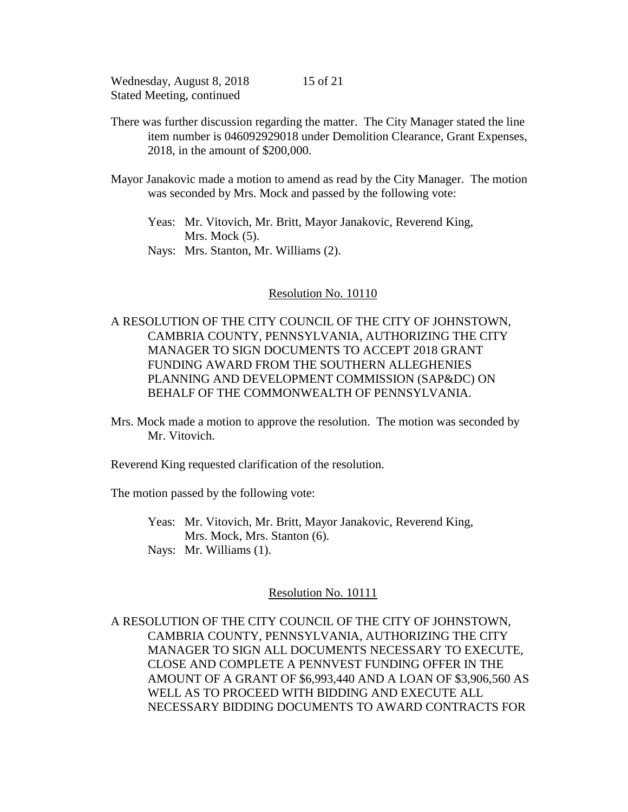There was further discussion regarding the matter. The City Manager stated the line item number is 046092929018 under Demolition Clearance, Grant Expenses, 2018, in the amount of \$200,000.

Mayor Janakovic made a motion to amend as read by the City Manager. The motion was seconded by Mrs. Mock and passed by the following vote:

Yeas: Mr. Vitovich, Mr. Britt, Mayor Janakovic, Reverend King, Mrs. Mock  $(5)$ .

Nays: Mrs. Stanton, Mr. Williams (2).

## Resolution No. 10110

# A RESOLUTION OF THE CITY COUNCIL OF THE CITY OF JOHNSTOWN, CAMBRIA COUNTY, PENNSYLVANIA, AUTHORIZING THE CITY MANAGER TO SIGN DOCUMENTS TO ACCEPT 2018 GRANT FUNDING AWARD FROM THE SOUTHERN ALLEGHENIES PLANNING AND DEVELOPMENT COMMISSION (SAP&DC) ON BEHALF OF THE COMMONWEALTH OF PENNSYLVANIA.

Mrs. Mock made a motion to approve the resolution. The motion was seconded by Mr. Vitovich.

Reverend King requested clarification of the resolution.

The motion passed by the following vote:

Yeas: Mr. Vitovich, Mr. Britt, Mayor Janakovic, Reverend King, Mrs. Mock, Mrs. Stanton (6). Nays: Mr. Williams (1).

## Resolution No. 10111

A RESOLUTION OF THE CITY COUNCIL OF THE CITY OF JOHNSTOWN, CAMBRIA COUNTY, PENNSYLVANIA, AUTHORIZING THE CITY MANAGER TO SIGN ALL DOCUMENTS NECESSARY TO EXECUTE, CLOSE AND COMPLETE A PENNVEST FUNDING OFFER IN THE AMOUNT OF A GRANT OF \$6,993,440 AND A LOAN OF \$3,906,560 AS WELL AS TO PROCEED WITH BIDDING AND EXECUTE ALL NECESSARY BIDDING DOCUMENTS TO AWARD CONTRACTS FOR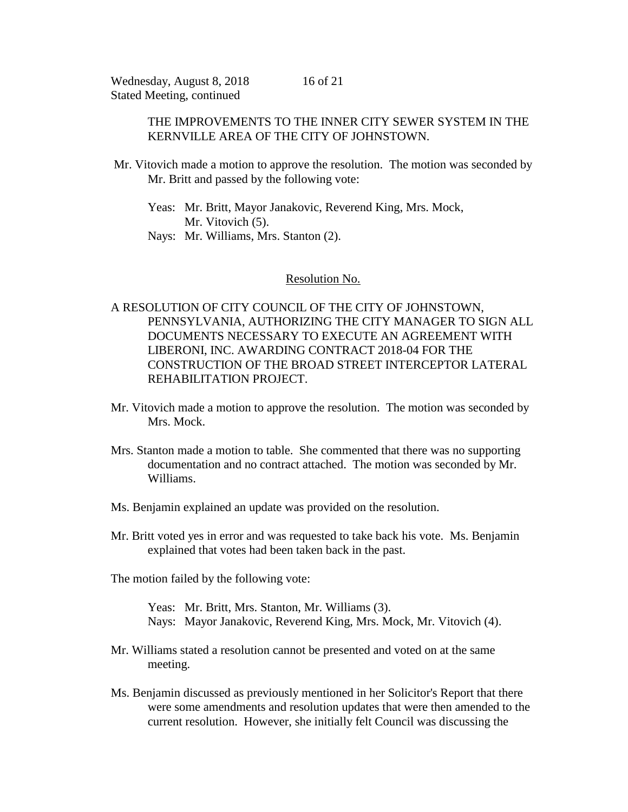## THE IMPROVEMENTS TO THE INNER CITY SEWER SYSTEM IN THE KERNVILLE AREA OF THE CITY OF JOHNSTOWN.

Mr. Vitovich made a motion to approve the resolution. The motion was seconded by Mr. Britt and passed by the following vote:

Yeas: Mr. Britt, Mayor Janakovic, Reverend King, Mrs. Mock, Mr. Vitovich  $(5)$ . Nays: Mr. Williams, Mrs. Stanton (2).

## Resolution No.

# A RESOLUTION OF CITY COUNCIL OF THE CITY OF JOHNSTOWN, PENNSYLVANIA, AUTHORIZING THE CITY MANAGER TO SIGN ALL DOCUMENTS NECESSARY TO EXECUTE AN AGREEMENT WITH LIBERONI, INC. AWARDING CONTRACT 2018-04 FOR THE CONSTRUCTION OF THE BROAD STREET INTERCEPTOR LATERAL REHABILITATION PROJECT.

- Mr. Vitovich made a motion to approve the resolution. The motion was seconded by Mrs. Mock.
- Mrs. Stanton made a motion to table. She commented that there was no supporting documentation and no contract attached. The motion was seconded by Mr. Williams.
- Ms. Benjamin explained an update was provided on the resolution.
- Mr. Britt voted yes in error and was requested to take back his vote. Ms. Benjamin explained that votes had been taken back in the past.
- The motion failed by the following vote:

Yeas: Mr. Britt, Mrs. Stanton, Mr. Williams (3). Nays: Mayor Janakovic, Reverend King, Mrs. Mock, Mr. Vitovich (4).

- Mr. Williams stated a resolution cannot be presented and voted on at the same meeting.
- Ms. Benjamin discussed as previously mentioned in her Solicitor's Report that there were some amendments and resolution updates that were then amended to the current resolution. However, she initially felt Council was discussing the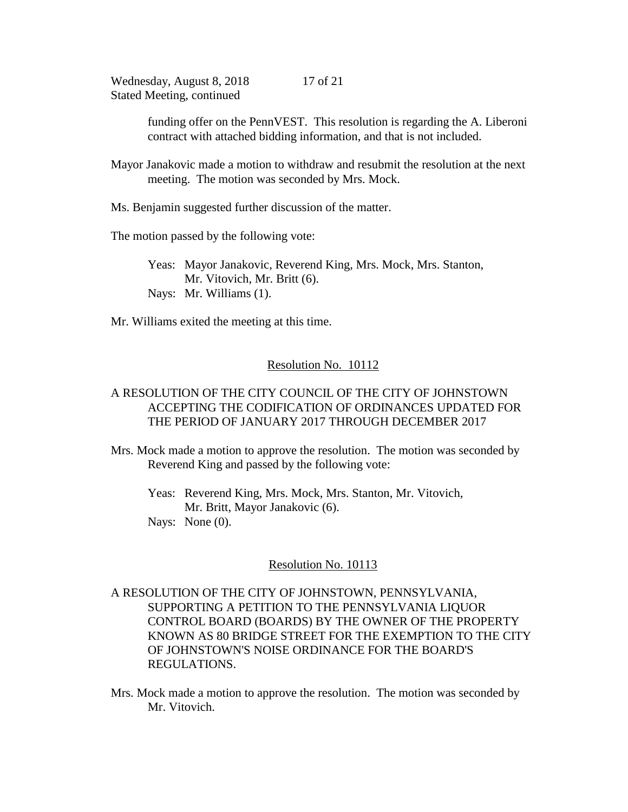> funding offer on the PennVEST. This resolution is regarding the A. Liberoni contract with attached bidding information, and that is not included.

Mayor Janakovic made a motion to withdraw and resubmit the resolution at the next meeting. The motion was seconded by Mrs. Mock.

Ms. Benjamin suggested further discussion of the matter.

The motion passed by the following vote:

Yeas: Mayor Janakovic, Reverend King, Mrs. Mock, Mrs. Stanton, Mr. Vitovich, Mr. Britt (6). Nays: Mr. Williams (1).

Mr. Williams exited the meeting at this time.

## Resolution No. 10112

# A RESOLUTION OF THE CITY COUNCIL OF THE CITY OF JOHNSTOWN ACCEPTING THE CODIFICATION OF ORDINANCES UPDATED FOR THE PERIOD OF JANUARY 2017 THROUGH DECEMBER 2017

Mrs. Mock made a motion to approve the resolution. The motion was seconded by Reverend King and passed by the following vote:

Yeas: Reverend King, Mrs. Mock, Mrs. Stanton, Mr. Vitovich, Mr. Britt, Mayor Janakovic (6).

Nays: None  $(0)$ .

## Resolution No. 10113

# A RESOLUTION OF THE CITY OF JOHNSTOWN, PENNSYLVANIA, SUPPORTING A PETITION TO THE PENNSYLVANIA LIQUOR CONTROL BOARD (BOARDS) BY THE OWNER OF THE PROPERTY KNOWN AS 80 BRIDGE STREET FOR THE EXEMPTION TO THE CITY OF JOHNSTOWN'S NOISE ORDINANCE FOR THE BOARD'S REGULATIONS.

Mrs. Mock made a motion to approve the resolution. The motion was seconded by Mr. Vitovich.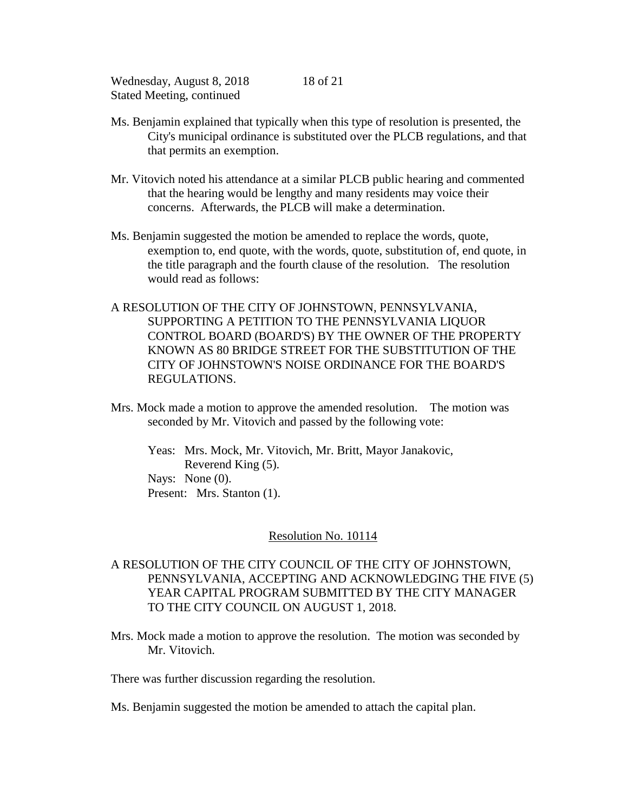Ms. Benjamin explained that typically when this type of resolution is presented, the City's municipal ordinance is substituted over the PLCB regulations, and that that permits an exemption.

18 of 21

- Mr. Vitovich noted his attendance at a similar PLCB public hearing and commented that the hearing would be lengthy and many residents may voice their concerns. Afterwards, the PLCB will make a determination.
- Ms. Benjamin suggested the motion be amended to replace the words, quote, exemption to, end quote, with the words, quote, substitution of, end quote, in the title paragraph and the fourth clause of the resolution. The resolution would read as follows:
- A RESOLUTION OF THE CITY OF JOHNSTOWN, PENNSYLVANIA, SUPPORTING A PETITION TO THE PENNSYLVANIA LIQUOR CONTROL BOARD (BOARD'S) BY THE OWNER OF THE PROPERTY KNOWN AS 80 BRIDGE STREET FOR THE SUBSTITUTION OF THE CITY OF JOHNSTOWN'S NOISE ORDINANCE FOR THE BOARD'S REGULATIONS.
- Mrs. Mock made a motion to approve the amended resolution. The motion was seconded by Mr. Vitovich and passed by the following vote:

Yeas: Mrs. Mock, Mr. Vitovich, Mr. Britt, Mayor Janakovic, Reverend King (5). Nays: None  $(0)$ . Present: Mrs. Stanton (1).

## Resolution No. 10114

- A RESOLUTION OF THE CITY COUNCIL OF THE CITY OF JOHNSTOWN, PENNSYLVANIA, ACCEPTING AND ACKNOWLEDGING THE FIVE (5) YEAR CAPITAL PROGRAM SUBMITTED BY THE CITY MANAGER TO THE CITY COUNCIL ON AUGUST 1, 2018.
- Mrs. Mock made a motion to approve the resolution. The motion was seconded by Mr. Vitovich.

There was further discussion regarding the resolution.

Ms. Benjamin suggested the motion be amended to attach the capital plan.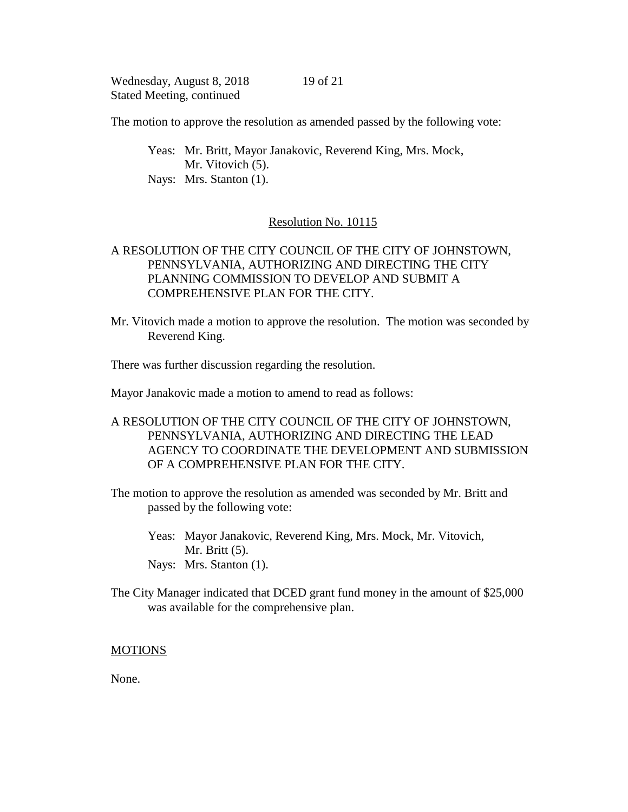19 of 21

The motion to approve the resolution as amended passed by the following vote:

Yeas: Mr. Britt, Mayor Janakovic, Reverend King, Mrs. Mock, Mr. Vitovich (5). Nays: Mrs. Stanton (1).

## Resolution No. 10115

# A RESOLUTION OF THE CITY COUNCIL OF THE CITY OF JOHNSTOWN, PENNSYLVANIA, AUTHORIZING AND DIRECTING THE CITY PLANNING COMMISSION TO DEVELOP AND SUBMIT A COMPREHENSIVE PLAN FOR THE CITY.

Mr. Vitovich made a motion to approve the resolution. The motion was seconded by Reverend King.

There was further discussion regarding the resolution.

Mayor Janakovic made a motion to amend to read as follows:

# A RESOLUTION OF THE CITY COUNCIL OF THE CITY OF JOHNSTOWN, PENNSYLVANIA, AUTHORIZING AND DIRECTING THE LEAD AGENCY TO COORDINATE THE DEVELOPMENT AND SUBMISSION OF A COMPREHENSIVE PLAN FOR THE CITY.

- The motion to approve the resolution as amended was seconded by Mr. Britt and passed by the following vote:
	- Yeas: Mayor Janakovic, Reverend King, Mrs. Mock, Mr. Vitovich, Mr. Britt (5). Nays: Mrs. Stanton (1).
- The City Manager indicated that DCED grant fund money in the amount of \$25,000 was available for the comprehensive plan.

## MOTIONS

None.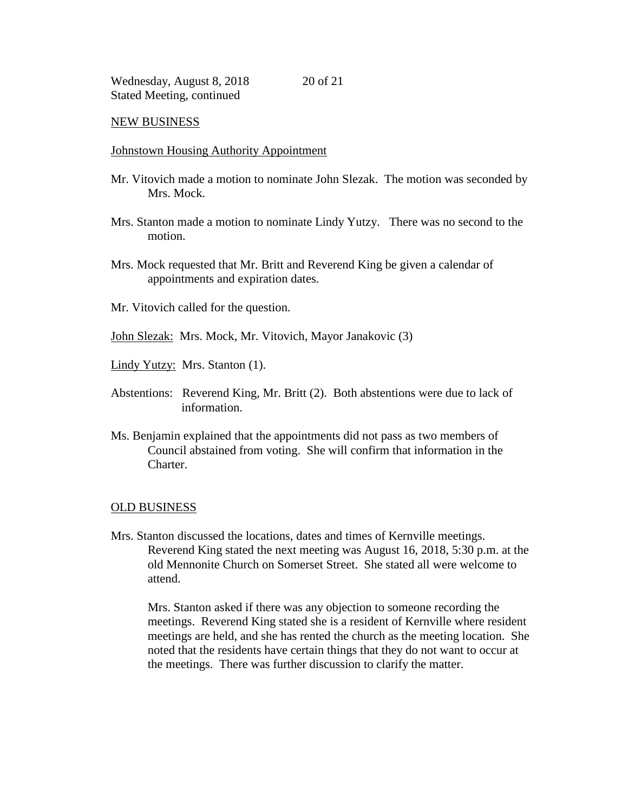#### NEW BUSINESS

#### Johnstown Housing Authority Appointment

- Mr. Vitovich made a motion to nominate John Slezak. The motion was seconded by Mrs. Mock.
- Mrs. Stanton made a motion to nominate Lindy Yutzy. There was no second to the motion.
- Mrs. Mock requested that Mr. Britt and Reverend King be given a calendar of appointments and expiration dates.
- Mr. Vitovich called for the question.

John Slezak: Mrs. Mock, Mr. Vitovich, Mayor Janakovic (3)

Lindy Yutzy: Mrs. Stanton (1).

- Abstentions: Reverend King, Mr. Britt (2). Both abstentions were due to lack of information.
- Ms. Benjamin explained that the appointments did not pass as two members of Council abstained from voting. She will confirm that information in the Charter.

#### OLD BUSINESS

Mrs. Stanton discussed the locations, dates and times of Kernville meetings. Reverend King stated the next meeting was August 16, 2018, 5:30 p.m. at the old Mennonite Church on Somerset Street. She stated all were welcome to attend.

Mrs. Stanton asked if there was any objection to someone recording the meetings. Reverend King stated she is a resident of Kernville where resident meetings are held, and she has rented the church as the meeting location. She noted that the residents have certain things that they do not want to occur at the meetings. There was further discussion to clarify the matter.